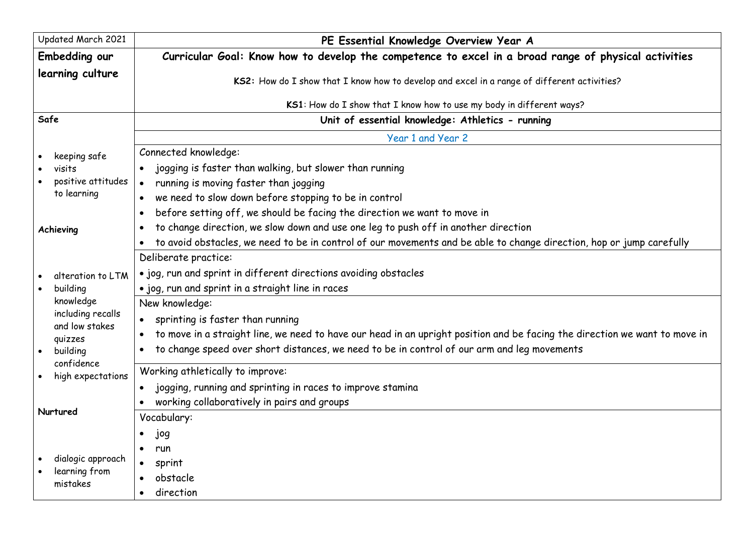| Updated March 2021                  | PE Essential Knowledge Overview Year A                                                                                     |
|-------------------------------------|----------------------------------------------------------------------------------------------------------------------------|
| Embedding our                       | Curricular Goal: Know how to develop the competence to excel in a broad range of physical activities                       |
| learning culture                    | KS2: How do I show that I know how to develop and excel in a range of different activities?                                |
|                                     | KS1: How do I show that I know how to use my body in different ways?                                                       |
| Safe                                | Unit of essential knowledge: Athletics - running                                                                           |
|                                     | Year 1 and Year 2                                                                                                          |
| keeping safe                        | Connected knowledge:                                                                                                       |
| visits                              | jogging is faster than walking, but slower than running                                                                    |
| positive attitudes                  | running is moving faster than jogging<br>$\bullet$                                                                         |
| to learning                         | we need to slow down before stopping to be in control                                                                      |
|                                     | before setting off, we should be facing the direction we want to move in<br>$\bullet$                                      |
| Achieving                           | to change direction, we slow down and use one leg to push off in another direction<br>$\bullet$                            |
|                                     | to avoid obstacles, we need to be in control of our movements and be able to change direction, hop or jump carefully       |
|                                     | Deliberate practice:                                                                                                       |
| alteration to LTM                   | . jog, run and sprint in different directions avoiding obstacles                                                           |
| building                            | . jog, run and sprint in a straight line in races                                                                          |
| knowledge                           | New knowledge:                                                                                                             |
| including recalls<br>and low stakes | sprinting is faster than running                                                                                           |
| quizzes                             | to move in a straight line, we need to have our head in an upright position and be facing the direction we want to move in |
| building                            | to change speed over short distances, we need to be in control of our arm and leg movements                                |
| confidence<br>high expectations     | Working athletically to improve:                                                                                           |
|                                     | jogging, running and sprinting in races to improve stamina<br>$\bullet$                                                    |
|                                     | working collaboratively in pairs and groups                                                                                |
| Nurtured                            | Vocabulary:                                                                                                                |
|                                     | jog                                                                                                                        |
|                                     | run<br>$\bullet$                                                                                                           |
| dialogic approach                   | sprint<br>$\bullet$                                                                                                        |
| learning from<br>mistakes           | obstacle                                                                                                                   |
|                                     | direction<br>$\bullet$                                                                                                     |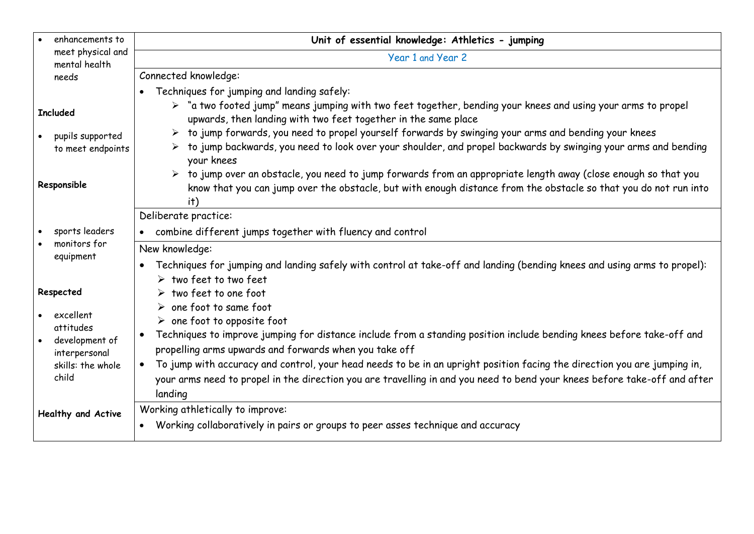| enhancements to                                                                                      | Unit of essential knowledge: Athletics - jumping                                                                                                                                                                                                                                                                                                                                                                                                                                                                                                                                                                                                                                                                      |
|------------------------------------------------------------------------------------------------------|-----------------------------------------------------------------------------------------------------------------------------------------------------------------------------------------------------------------------------------------------------------------------------------------------------------------------------------------------------------------------------------------------------------------------------------------------------------------------------------------------------------------------------------------------------------------------------------------------------------------------------------------------------------------------------------------------------------------------|
| meet physical and<br>mental health                                                                   | Year 1 and Year 2                                                                                                                                                                                                                                                                                                                                                                                                                                                                                                                                                                                                                                                                                                     |
| needs                                                                                                | Connected knowledge:                                                                                                                                                                                                                                                                                                                                                                                                                                                                                                                                                                                                                                                                                                  |
| <b>Included</b><br>pupils supported<br>to meet endpoints<br>Responsible                              | Techniques for jumping and landing safely:<br>> "a two footed jump" means jumping with two feet together, bending your knees and using your arms to propel<br>upwards, then landing with two feet together in the same place<br>> to jump forwards, you need to propel yourself forwards by swinging your arms and bending your knees<br>> to jump backwards, you need to look over your shoulder, and propel backwards by swinging your arms and bending<br>your knees<br>> to jump over an obstacle, you need to jump forwards from an appropriate length away (close enough so that you<br>know that you can jump over the obstacle, but with enough distance from the obstacle so that you do not run into<br>it) |
| sports leaders<br>monitors for<br>equipment                                                          | Deliberate practice:<br>combine different jumps together with fluency and control<br>$\bullet$<br>New knowledge:<br>Techniques for jumping and landing safely with control at take-off and landing (bending knees and using arms to propel):<br>$\bullet$                                                                                                                                                                                                                                                                                                                                                                                                                                                             |
| Respected<br>excellent<br>attitudes<br>development of<br>interpersonal<br>skills: the whole<br>child | $\triangleright$ two feet to two feet<br>$\triangleright$ two feet to one foot<br>$\triangleright$ one foot to same foot<br>$\triangleright$ one foot to opposite foot<br>Techniques to improve jumping for distance include from a standing position include bending knees before take-off and<br>$\bullet$<br>propelling arms upwards and forwards when you take off<br>To jump with accuracy and control, your head needs to be in an upright position facing the direction you are jumping in,<br>your arms need to propel in the direction you are travelling in and you need to bend your knees before take-off and after<br>landing                                                                            |
| Healthy and Active                                                                                   | Working athletically to improve:<br>Working collaboratively in pairs or groups to peer asses technique and accuracy<br>$\bullet$                                                                                                                                                                                                                                                                                                                                                                                                                                                                                                                                                                                      |